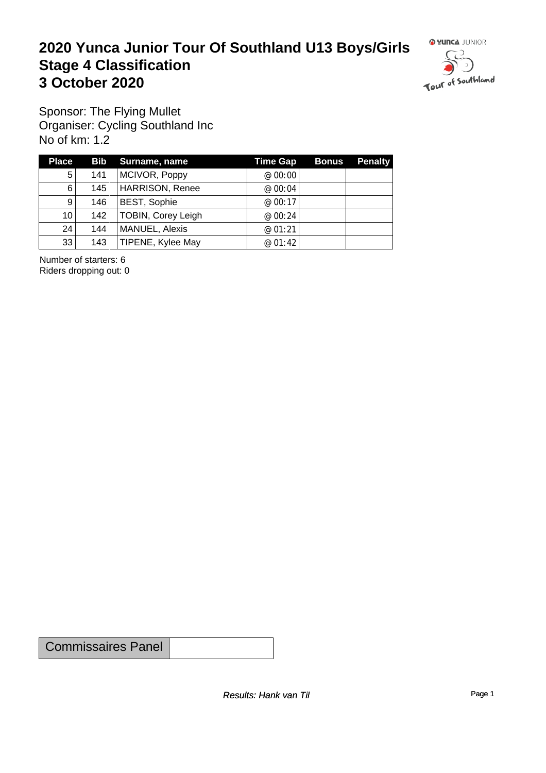#### **2020 Yunca Junior Tour Of Southland U13 Boys/Girls** Stage 4 Classification<br>
3 October 2020 **3 October 2020**



Sponsor: The Flying Mullet Organiser: Cycling Southland Inc No of km: 1.2

| <b>Place</b>    |     | Bib Surname, name         | <b>Time Gap</b> | <b>Bonus</b> | <b>Penalty</b> |
|-----------------|-----|---------------------------|-----------------|--------------|----------------|
| 5               | 141 | MCIVOR, Poppy             | @ $00:00$       |              |                |
| $6 \mid$        | 145 | <b>HARRISON, Renee</b>    | @ 00:04         |              |                |
| $\vert 9 \vert$ | 146 | <b>BEST, Sophie</b>       | @ 00:17         |              |                |
| 10 <sub>1</sub> | 142 | <b>TOBIN, Corey Leigh</b> | @ 00:24         |              |                |
| 24              | 144 | MANUEL, Alexis            | @01:21          |              |                |
| 33              | 143 | TIPENE, Kylee May         | @ 01:42         |              |                |

Number of starters: 6 Riders dropping out: 0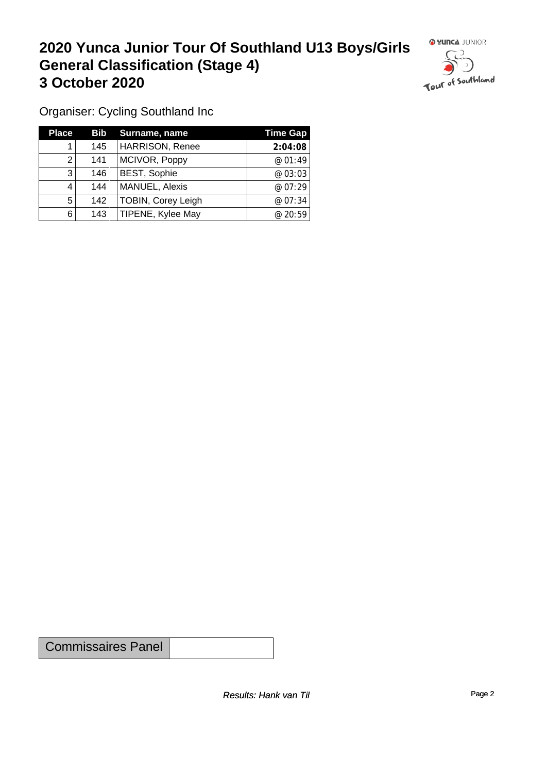## **2020 Yunca Junior Tour Of Southland U13 Boys/Girls General Classification (Stage 4)**<br> **3 October 2020 3 October 2020**



Organiser: Cycling Southland Inc

| <b>Place</b> |     | <b>Bib</b> Surname, name  | Time Gap |
|--------------|-----|---------------------------|----------|
|              | 145 | <b>HARRISON, Renee</b>    | 2:04:08  |
| 2            | 141 | MCIVOR, Poppy             | @01:49   |
| 3            | 146 | <b>BEST, Sophie</b>       | @03:03   |
| 4            | 144 | MANUEL, Alexis            | @07:29   |
| 5            | 142 | <b>TOBIN, Corey Leigh</b> | @ 07:34  |
| 6            | 143 | TIPENE, Kylee May         | @ 20:59  |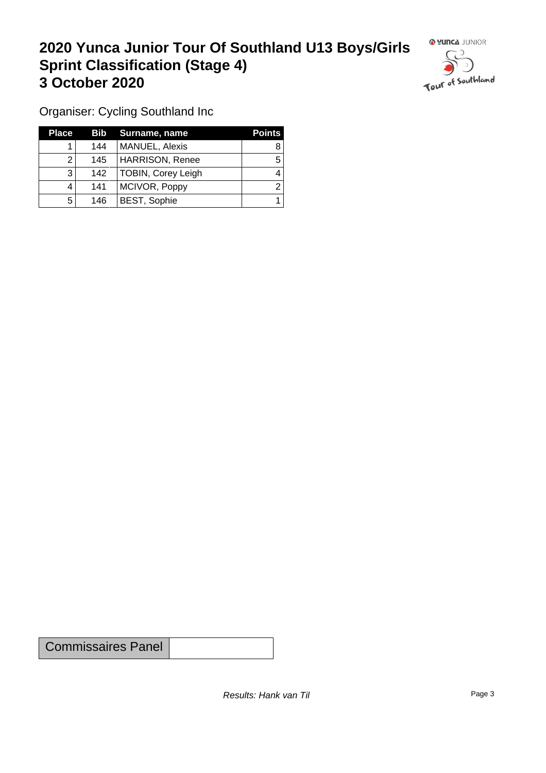### **2020 Yunca Junior Tour Of Southland U13 Boys/Girls Sprint Classification (Stage 4) 3 October 2020 1999 1999 1999 1999 1999 1999 1999 1999 1999 1999 1999 1999 1999 1999 1999 1999 1999 1999 1999 1999 1999 1999 1999 1999 1999 1999 1999 1999 1999 1**



Organiser: Cycling Southland Inc

| <b>Place</b> |     | Bib Surname, name      | <b>Points</b> |
|--------------|-----|------------------------|---------------|
|              | 144 | <b>MANUEL, Alexis</b>  |               |
|              | 145 | <b>HARRISON, Renee</b> |               |
| 3            | 142 | TOBIN, Corey Leigh     |               |
|              | 141 | MCIVOR, Poppy          |               |
| 5            | 146 | <b>BEST, Sophie</b>    |               |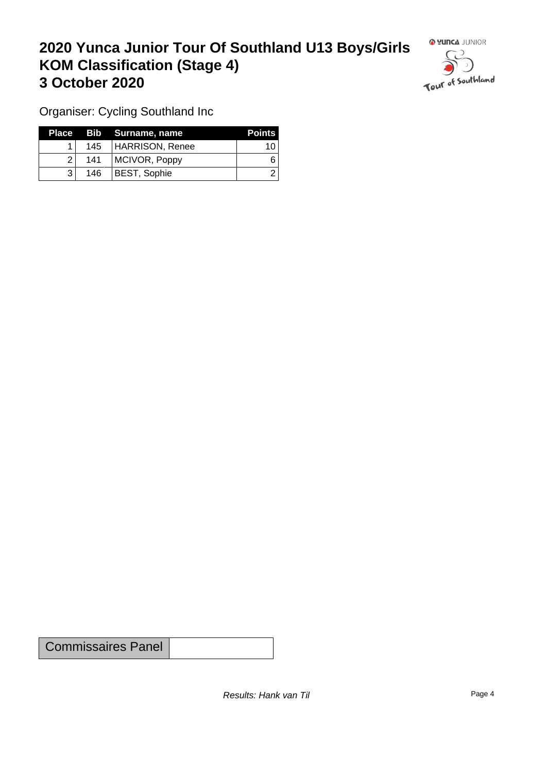### **2020 Yunca Junior Tour Of Southland U13 Boys/Girls KOM Classification (Stage 4) 3 October 2020**



Organiser: Cycling Southland Inc

|                |     | Place Bib Surname, name | <b>Points</b> |
|----------------|-----|-------------------------|---------------|
|                |     | 145   HARRISON, Renee   | 10            |
| $\overline{2}$ | 141 | MCIVOR, Poppy           |               |
|                | 146 | <b>BEST, Sophie</b>     |               |